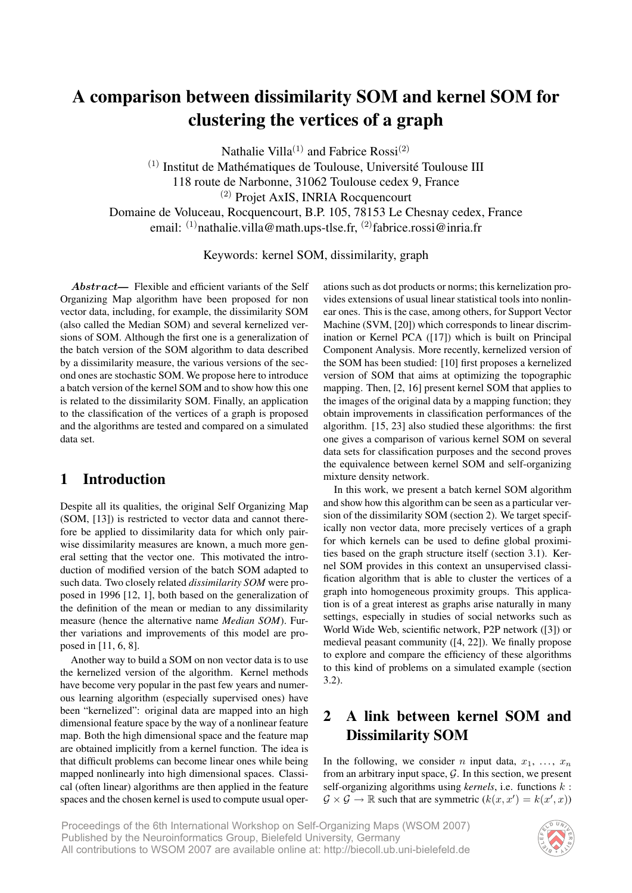# A comparison between dissimilarity SOM and kernel SOM for clustering the vertices of a graph

Nathalie Villa<sup>(1)</sup> and Fabrice Rossi<sup>(2)</sup>

 $(1)$  Institut de Mathématiques de Toulouse, Université Toulouse III

118 route de Narbonne, 31062 Toulouse cedex 9, France

(2) Projet AxIS, INRIA Rocquencourt

Domaine de Voluceau, Rocquencourt, B.P. 105, 78153 Le Chesnay cedex, France email: <sup>(1)</sup>nathalie.villa@math.ups-tlse.fr, <sup>(2)</sup>fabrice.rossi@inria.fr

Keywords: kernel SOM, dissimilarity, graph

Abstract— Flexible and efficient variants of the Self Organizing Map algorithm have been proposed for non vector data, including, for example, the dissimilarity SOM (also called the Median SOM) and several kernelized versions of SOM. Although the first one is a generalization of the batch version of the SOM algorithm to data described by a dissimilarity measure, the various versions of the second ones are stochastic SOM. We propose here to introduce a batch version of the kernel SOM and to show how this one is related to the dissimilarity SOM. Finally, an application to the classification of the vertices of a graph is proposed and the algorithms are tested and compared on a simulated data set.

# 1 Introduction

Despite all its qualities, the original Self Organizing Map (SOM, [13]) is restricted to vector data and cannot therefore be applied to dissimilarity data for which only pairwise dissimilarity measures are known, a much more general setting that the vector one. This motivated the introduction of modified version of the batch SOM adapted to such data. Two closely related *dissimilarity SOM* were proposed in 1996 [12, 1], both based on the generalization of the definition of the mean or median to any dissimilarity measure (hence the alternative name *Median SOM*). Further variations and improvements of this model are proposed in [11, 6, 8].

Another way to build a SOM on non vector data is to use the kernelized version of the algorithm. Kernel methods have become very popular in the past few years and numerous learning algorithm (especially supervised ones) have been "kernelized": original data are mapped into an high dimensional feature space by the way of a nonlinear feature map. Both the high dimensional space and the feature map are obtained implicitly from a kernel function. The idea is that difficult problems can become linear ones while being mapped nonlinearly into high dimensional spaces. Classical (often linear) algorithms are then applied in the feature spaces and the chosen kernel is used to compute usual operations such as dot products or norms; this kernelization provides extensions of usual linear statistical tools into nonlinear ones. This is the case, among others, for Support Vector Machine (SVM, [20]) which corresponds to linear discrimination or Kernel PCA ([17]) which is built on Principal Component Analysis. More recently, kernelized version of the SOM has been studied: [10] first proposes a kernelized version of SOM that aims at optimizing the topographic mapping. Then, [2, 16] present kernel SOM that applies to the images of the original data by a mapping function; they obtain improvements in classification performances of the algorithm. [15, 23] also studied these algorithms: the first one gives a comparison of various kernel SOM on several data sets for classification purposes and the second proves the equivalence between kernel SOM and self-organizing mixture density network.

In this work, we present a batch kernel SOM algorithm and show how this algorithm can be seen as a particular version of the dissimilarity SOM (section 2). We target specifically non vector data, more precisely vertices of a graph for which kernels can be used to define global proximities based on the graph structure itself (section 3.1). Kernel SOM provides in this context an unsupervised classification algorithm that is able to cluster the vertices of a graph into homogeneous proximity groups. This application is of a great interest as graphs arise naturally in many settings, especially in studies of social networks such as World Wide Web, scientific network, P2P network ([3]) or medieval peasant community ([4, 22]). We finally propose to explore and compare the efficiency of these algorithms to this kind of problems on a simulated example (section 3.2).

# 2 A link between kernel SOM and Dissimilarity SOM

In the following, we consider *n* input data,  $x_1, \ldots, x_n$ from an arbitrary input space,  $\mathcal{G}$ . In this section, we present self-organizing algorithms using *kernels*, i.e. functions k :  $\mathcal{G} \times \mathcal{G} \to \mathbb{R}$  such that are symmetric  $(k(x, x') = k(x', x))$ 

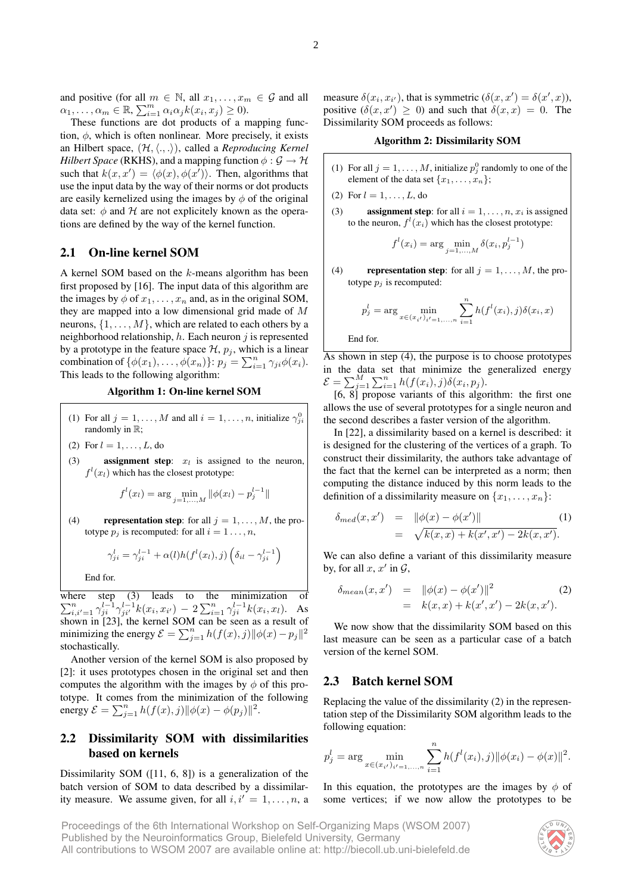and positive (for all  $m \in \mathbb{N}$ , all  $x_1, \ldots, x_m \in \mathcal{G}$  and all  $\alpha_1, \ldots, \alpha_m \in \mathbb{R}, \sum_{i=1}^m \alpha_i \alpha_j k(x_i, x_j) \geq 0.$ 

These functions are dot products of a mapping function,  $\phi$ , which is often nonlinear. More precisely, it exists an Hilbert space,  $(\mathcal{H}, \langle ., . \rangle)$ , called a *Reproducing Kernel Hilbert Space* (RKHS), and a mapping function  $\phi : \mathcal{G} \to \mathcal{H}$ such that  $k(x, x') = \langle \phi(x), \phi(x') \rangle$ . Then, algorithms that use the input data by the way of their norms or dot products are easily kernelized using the images by  $\phi$  of the original data set:  $\phi$  and  $\mathcal H$  are not explicitely known as the operations are defined by the way of the kernel function.

## 2.1 On-line kernel SOM

A kernel SOM based on the k-means algorithm has been first proposed by [16]. The input data of this algorithm are the images by  $\phi$  of  $x_1, \ldots, x_n$  and, as in the original SOM, they are mapped into a low dimensional grid made of M neurons,  $\{1, \ldots, M\}$ , which are related to each others by a neighborhood relationship,  $h$ . Each neuron  $j$  is represented by a prototype in the feature space  $\mathcal{H}$ ,  $p_j$ , which is a linear combination of  $\{\phi(x_1), \ldots, \phi(x_n)\}$ :  $p_j = \sum_{i=1}^n \gamma_{ji} \phi(x_i)$ . This leads to the following algorithm:

### Algorithm 1: On-line kernel SOM

- (1) For all  $j = 1, ..., M$  and all  $i = 1, ..., n$ , initialize  $\gamma_{ji}^0$ randomly in R;
- (2) For  $l = 1, ..., L$ , do
- (3) **assignment step:**  $x_l$  is assigned to the neuron,  $f^l(x_l)$  which has the closest prototype:

$$
f^{l}(x_{l}) = \arg\min_{j=1,...,M} \|\phi(x_{l}) - p_{j}^{l-1}\|
$$

(4) representation step: for all  $j = 1, \ldots, M$ , the prototype  $p_i$  is recomputed: for all  $i = 1 \ldots, n$ ,

$$
\gamma_{ji}^l = \gamma_{ji}^{l-1} + \alpha(l)h(f^l(x_l), j)\left(\delta_{il} - \gamma_{ji}^{l-1}\right)
$$

End for.

where step (3) leads to the minimization of  $\sum_{i,i'=1}^n \gamma_{ji}^{l-1} \gamma_{ji'}^{l-1} k(x_i, x_{i'}) - 2 \sum_{i=1}^n \gamma_{ji}^{l-1} k(x_i, x_l)$ . As shown in [23], the kernel SOM can be seen as a result of minimizing the energy  $\mathcal{E} = \sum_{j=1}^n h(f(x), j) ||\phi(x) - p_j||^2$ stochastically.

Another version of the kernel SOM is also proposed by [2]: it uses prototypes chosen in the original set and then computes the algorithm with the images by  $\phi$  of this prototype. It comes from the minimization of the following energy  $\mathcal{E} = \sum_{j=1}^{n} h(f(x), j) ||\phi(x) - \phi(p_j)||^2$ .

## 2.2 Dissimilarity SOM with dissimilarities based on kernels

Dissimilarity SOM ([11, 6, 8]) is a generalization of the batch version of SOM to data described by a dissimilarity measure. We assume given, for all  $i, i' = 1, \ldots, n$ , a

measure  $\delta(x_i, x_{i'})$ , that is symmetric  $(\delta(x, x') = \delta(x', x))$ , positive  $(\delta(x, x') \geq 0)$  and such that  $\delta(x, x) = 0$ . The Dissimilarity SOM proceeds as follows:

Algorithm 2: Dissimilarity SOM

- (1) For all  $j = 1, ..., M$ , initialize  $p_j^0$  randomly to one of the element of the data set  $\{x_1, \ldots, x_n\}$ ;
- (2) For  $l = 1, ..., L$ , do
- (3) **assignment step**: for all  $i = 1, \ldots, n, x_i$  is assigned to the neuron,  $f^l(x_i)$  which has the closest prototype:

$$
f^{l}(x_{i}) = \arg \min_{j=1,...,M} \delta(x_{i}, p_{j}^{l-1})
$$

(4) representation step: for all  $j = 1, \ldots, M$ , the prototype  $p_j$  is recomputed:

$$
p_j^l = \arg \min_{x \in (x_{i'})_{i'=1,...,n}} \sum_{i=1}^n h(f^l(x_i), j) \delta(x_i, x)
$$

End for.

As shown in step (4), the purpose is to choose prototypes in the data set that minimize the generalized energy  $\mathcal{E} = \sum_{j=1}^{M} \sum_{i=1}^{n} h(f(x_i), j) \delta(x_i, p_j).$ 

[6, 8] propose variants of this algorithm: the first one allows the use of several prototypes for a single neuron and the second describes a faster version of the algorithm.

In [22], a dissimilarity based on a kernel is described: it is designed for the clustering of the vertices of a graph. To construct their dissimilarity, the authors take advantage of the fact that the kernel can be interpreted as a norm; then computing the distance induced by this norm leads to the definition of a dissimilarity measure on  $\{x_1, \ldots, x_n\}$ :

$$
\delta_{med}(x, x') = ||\phi(x) - \phi(x')||
$$
\n
$$
= \sqrt{k(x, x) + k(x', x') - 2k(x, x')}.
$$
\n(1)

We can also define a variant of this dissimilarity measure by, for all  $x, x'$  in  $\mathcal{G},$ 

$$
\delta_{mean}(x, x') = ||\phi(x) - \phi(x')||^2
$$
\n
$$
= k(x, x) + k(x', x') - 2k(x, x').
$$
\n(2)

We now show that the dissimilarity SOM based on this last measure can be seen as a particular case of a batch version of the kernel SOM.

### 2.3 Batch kernel SOM

Replacing the value of the dissimilarity (2) in the representation step of the Dissimilarity SOM algorithm leads to the following equation:

$$
p_j^l = \arg \min_{x \in (x_{i'})_{i'=1,...,n}} \sum_{i=1}^n h(f^l(x_i), j) ||\phi(x_i) - \phi(x)||^2.
$$

In this equation, the prototypes are the images by  $\phi$  of some vertices; if we now allow the prototypes to be

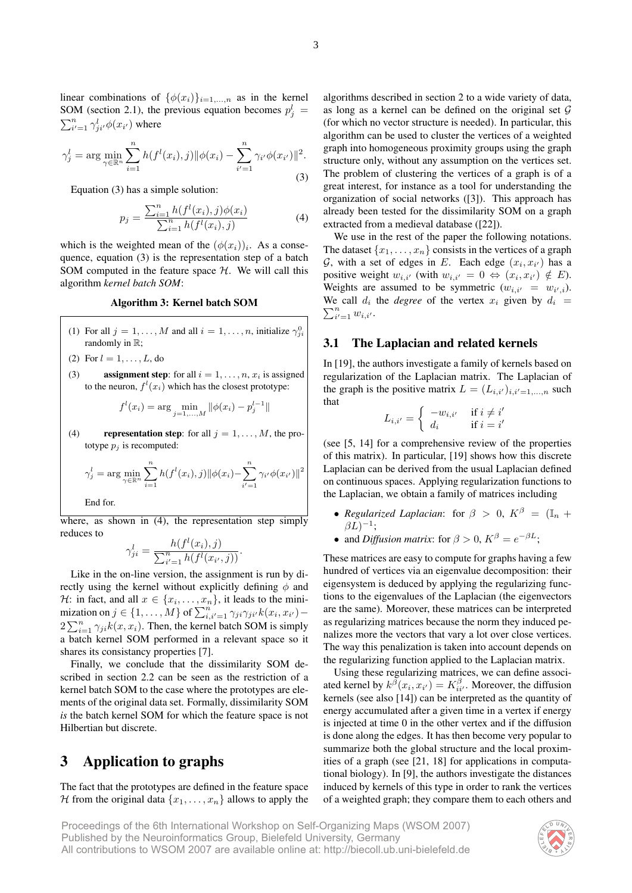linear combinations of  $\{\phi(x_i)\}_{i=1,\dots,n}$  as in the kernel SOM (section 2.1), the previous equation becomes  $p_j^l =$  $\sum_{i'=1}^n \gamma_{ji'}^l \phi(x_{i'})$  where

$$
\gamma_j^l = \arg \min_{\gamma \in \mathbb{R}^n} \sum_{i=1}^n h(f^l(x_i), j) ||\phi(x_i) - \sum_{i'=1}^n \gamma_{i'} \phi(x_{i'})||^2.
$$
\n(3)

Equation (3) has a simple solution:

$$
p_j = \frac{\sum_{i=1}^{n} h(f^l(x_i), j)\phi(x_i)}{\sum_{i=1}^{n} h(f^l(x_i), j)}
$$
(4)

which is the weighted mean of the  $(\phi(x_i))_i$ . As a consequence, equation (3) is the representation step of a batch SOM computed in the feature space  $H$ . We will call this algorithm *kernel batch SOM*:

#### Algorithm 3: Kernel batch SOM

- (1) For all  $j = 1, ..., M$  and all  $i = 1, ..., n$ , initialize  $\gamma_{ji}^0$ randomly in R;
- (2) For  $l = 1, ..., L$ , do
- (3) assignment step: for all  $i = 1, \ldots, n, x_i$  is assigned to the neuron,  $f^l(x_i)$  which has the closest prototype:

$$
f^{l}(x_{i}) = \arg\min_{j=1,...,M} \|\phi(x_{i}) - p_{j}^{l-1}\|
$$

(4) representation step: for all  $j = 1, \ldots, M$ , the prototype  $p_i$  is recomputed:

$$
\gamma_j^l = \arg \min_{\gamma \in \mathbb{R}^n} \sum_{i=1}^n h(f^l(x_i), j) ||\phi(x_i) - \sum_{i'=1}^n \gamma_{i'} \phi(x_{i'})||^2
$$

End for.

where, as shown in (4), the representation step simply reduces to

$$
\gamma_{ji}^{l} = \frac{h(f^{l}(x_i), j)}{\sum_{i'=1}^{n} h(f^{l}(x_{i'}, j))}.
$$

Like in the on-line version, the assignment is run by directly using the kernel without explicitly defining  $\phi$  and H: in fact, and all  $x \in \{x_1, \ldots, x_n\}$ , it leads to the minimization on  $j \in \{1, \ldots, M\}$  of  $\sum_{i,i'=1}^{n} \gamma_{ji} \gamma_{ji'} k(x_i, x_{i'})$  –  $2\sum_{i=1}^{n} \gamma_{ji} k(x, x_i)$ . Then, the kernel batch SOM is simply a batch kernel SOM performed in a relevant space so it shares its consistancy properties [7].

Finally, we conclude that the dissimilarity SOM described in section 2.2 can be seen as the restriction of a kernel batch SOM to the case where the prototypes are elements of the original data set. Formally, dissimilarity SOM *is* the batch kernel SOM for which the feature space is not Hilbertian but discrete.

## 3 Application to graphs

The fact that the prototypes are defined in the feature space H from the original data  $\{x_1, \ldots, x_n\}$  allows to apply the

algorithms described in section 2 to a wide variety of data, as long as a kernel can be defined on the original set  $G$ (for which no vector structure is needed). In particular, this algorithm can be used to cluster the vertices of a weighted graph into homogeneous proximity groups using the graph structure only, without any assumption on the vertices set. The problem of clustering the vertices of a graph is of a great interest, for instance as a tool for understanding the organization of social networks ([3]). This approach has already been tested for the dissimilarity SOM on a graph extracted from a medieval database ([22]).

We use in the rest of the paper the following notations. The dataset  $\{x_1, \ldots, x_n\}$  consists in the vertices of a graph G, with a set of edges in E. Each edge  $(x_i, x_{i'})$  has a positive weight  $w_{i,i'}$  (with  $w_{i,i'} = 0 \Leftrightarrow (x_i, x_{i'}) \notin E$ ). Weights are assumed to be symmetric  $(w_{i,i'} = w_{i',i}).$ We call  $d_i$  the *degree* of the vertex  $x_i$  given by  $d_i =$  $\sum_{i'=1}^{n} w_{i,i'}$ .

## 3.1 The Laplacian and related kernels

In [19], the authors investigate a family of kernels based on regularization of the Laplacian matrix. The Laplacian of the graph is the positive matrix  $L = (L_{i,i'})_{i,i'=1,...,n}$  such that

$$
L_{i,i'} = \begin{cases} -w_{i,i'} & \text{if } i \neq i' \\ d_i & \text{if } i = i' \end{cases}
$$

(see [5, 14] for a comprehensive review of the properties of this matrix). In particular, [19] shows how this discrete Laplacian can be derived from the usual Laplacian defined on continuous spaces. Applying regularization functions to the Laplacian, we obtain a family of matrices including

- *Regularized Laplacian*: for  $\beta > 0$ ,  $K^{\beta} = (\mathbb{I}_n +$  $\beta L)^{-1};$
- and *Diffusion matrix*: for  $\beta > 0$ ,  $K^{\beta} = e^{-\beta L}$ ;

These matrices are easy to compute for graphs having a few hundred of vertices via an eigenvalue decomposition: their eigensystem is deduced by applying the regularizing functions to the eigenvalues of the Laplacian (the eigenvectors are the same). Moreover, these matrices can be interpreted as regularizing matrices because the norm they induced penalizes more the vectors that vary a lot over close vertices. The way this penalization is taken into account depends on the regularizing function applied to the Laplacian matrix.

Using these regularizing matrices, we can define associated kernel by  $k^{\tilde{\beta}}(x_i, x_{i'}) = K^{\beta}_{ii'}$ . Moreover, the diffusion kernels (see also [14]) can be interpreted as the quantity of energy accumulated after a given time in a vertex if energy is injected at time 0 in the other vertex and if the diffusion is done along the edges. It has then become very popular to summarize both the global structure and the local proximities of a graph (see [21, 18] for applications in computational biology). In [9], the authors investigate the distances induced by kernels of this type in order to rank the vertices of a weighted graph; they compare them to each others and

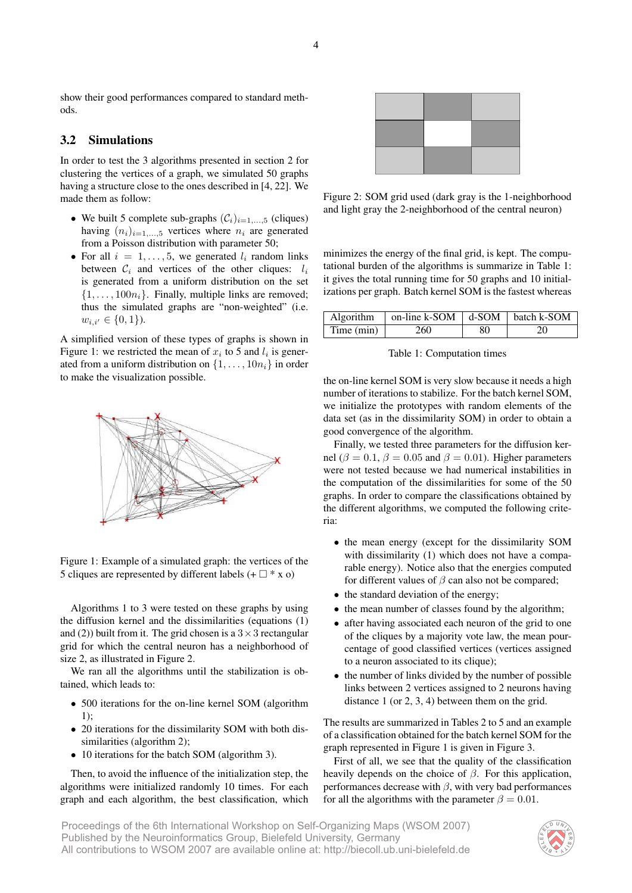show their good performances compared to standard methods.

## 3.2 Simulations

In order to test the 3 algorithms presented in section 2 for clustering the vertices of a graph, we simulated 50 graphs having a structure close to the ones described in [4, 22]. We made them as follow:

- We built 5 complete sub-graphs  $(C_i)_{i=1,\dots,5}$  (cliques) having  $(n_i)_{i=1,\ldots,5}$  vertices where  $n_i$  are generated from a Poisson distribution with parameter 50;
- For all  $i = 1, \ldots, 5$ , we generated  $l_i$  random links between  $C_i$  and vertices of the other cliques:  $l_i$ is generated from a uniform distribution on the set  $\{1, \ldots, 100n_i\}$ . Finally, multiple links are removed; thus the simulated graphs are "non-weighted" (i.e.  $w_{i,i'} \in \{0,1\}$ ).

A simplified version of these types of graphs is shown in Figure 1: we restricted the mean of  $x_i$  to 5 and  $l_i$  is generated from a uniform distribution on  $\{1, \ldots, 10n_i\}$  in order to make the visualization possible.



Figure 1: Example of a simulated graph: the vertices of the 5 cliques are represented by different labels  $(+ \Box * x o)$ 

Algorithms 1 to 3 were tested on these graphs by using the diffusion kernel and the dissimilarities (equations (1) and (2)) built from it. The grid chosen is a  $3 \times 3$  rectangular grid for which the central neuron has a neighborhood of size 2, as illustrated in Figure 2.

We ran all the algorithms until the stabilization is obtained, which leads to:

- 500 iterations for the on-line kernel SOM (algorithm 1);
- 20 iterations for the dissimilarity SOM with both dissimilarities (algorithm 2);
- 10 iterations for the batch SOM (algorithm 3).

Then, to avoid the influence of the initialization step, the algorithms were initialized randomly 10 times. For each graph and each algorithm, the best classification, which



Figure 2: SOM grid used (dark gray is the 1-neighborhood and light gray the 2-neighborhood of the central neuron)

minimizes the energy of the final grid, is kept. The computational burden of the algorithms is summarize in Table 1: it gives the total running time for 50 graphs and 10 initializations per graph. Batch kernel SOM is the fastest whereas

|              | Algorithm $ $ on-line k-SOM $ $ d-SOM $ $ batch k-SOM |     |    |
|--------------|-------------------------------------------------------|-----|----|
| Time $(min)$ | 260                                                   | -80 | 20 |

Table 1: Computation times

the on-line kernel SOM is very slow because it needs a high number of iterations to stabilize. For the batch kernel SOM, we initialize the prototypes with random elements of the data set (as in the dissimilarity SOM) in order to obtain a good convergence of the algorithm.

Finally, we tested three parameters for the diffusion kernel ( $\beta = 0.1$ ,  $\beta = 0.05$  and  $\beta = 0.01$ ). Higher parameters were not tested because we had numerical instabilities in the computation of the dissimilarities for some of the 50 graphs. In order to compare the classifications obtained by the different algorithms, we computed the following criteria:

- the mean energy (except for the dissimilarity SOM with dissimilarity (1) which does not have a comparable energy). Notice also that the energies computed for different values of  $\beta$  can also not be compared;
- the standard deviation of the energy;
- the mean number of classes found by the algorithm;
- after having associated each neuron of the grid to one of the cliques by a majority vote law, the mean pourcentage of good classified vertices (vertices assigned to a neuron associated to its clique);
- the number of links divided by the number of possible links between 2 vertices assigned to 2 neurons having distance 1 (or 2, 3, 4) between them on the grid.

The results are summarized in Tables 2 to 5 and an example of a classification obtained for the batch kernel SOM for the graph represented in Figure 1 is given in Figure 3.

First of all, we see that the quality of the classification heavily depends on the choice of  $\beta$ . For this application, performances decrease with  $\beta$ , with very bad performances for all the algorithms with the parameter  $\beta = 0.01$ .

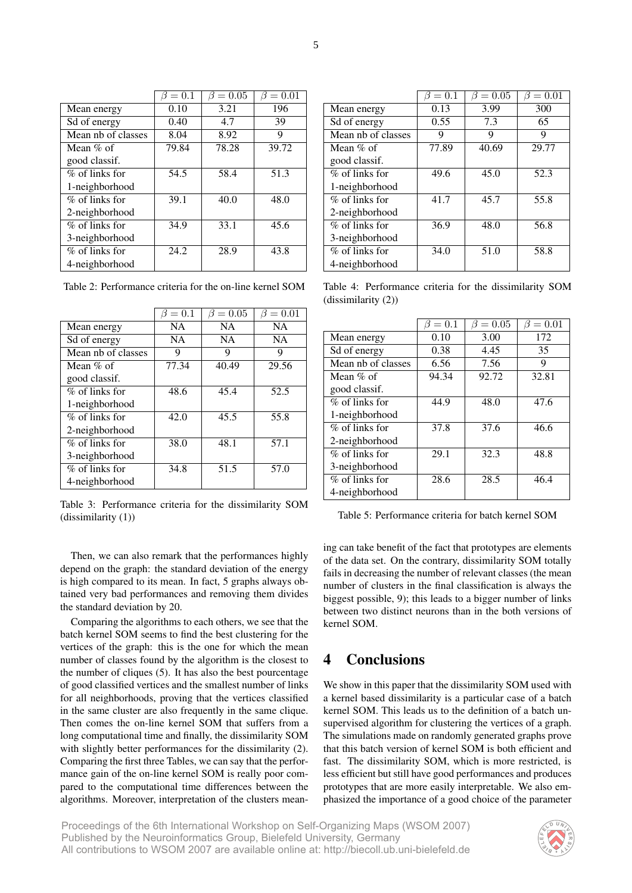|                    | $= 0.1$ | $= 0.05$ | $= 0.01$ |
|--------------------|---------|----------|----------|
| Mean energy        | 0.10    | 3.21     | 196      |
| Sd of energy       | 0.40    | 4.7      | 39       |
| Mean nb of classes | 8.04    | 8.92     | 9        |
| Mean $%$ of        | 79.84   | 78.28    | 39.72    |
| good classif.      |         |          |          |
| $\%$ of links for  | 54.5    | 58.4     | 51.3     |
| 1-neighborhood     |         |          |          |
| $%$ of links for   | 39.1    | 40.0     | 48.0     |
| 2-neighborhood     |         |          |          |
| $%$ of links for   | 34.9    | 33.1     | 45.6     |
| 3-neighborhood     |         |          |          |
| $%$ of links for   | 24.2    | 28.9     | 43.8     |
| 4-neighborhood     |         |          |          |

Table 2: Performance criteria for the on-line kernel SOM

|                    | $\beta=0.1$ | $= 0.05$<br>β | $= 0.01$<br>B |
|--------------------|-------------|---------------|---------------|
| Mean energy        | <b>NA</b>   | <b>NA</b>     | <b>NA</b>     |
| Sd of energy       | <b>NA</b>   | <b>NA</b>     | <b>NA</b>     |
| Mean nb of classes | 9           | 9             | 9             |
| Mean $\%$ of       | 77.34       | 40.49         | 29.56         |
| good classif.      |             |               |               |
| $%$ of links for   | 48.6        | 45.4          | 52.5          |
| 1-neighborhood     |             |               |               |
| $%$ of links for   | 42.0        | 45.5          | 55.8          |
| 2-neighborhood     |             |               |               |
| $%$ of links for   | 38.0        | 48.1          | 57.1          |
| 3-neighborhood     |             |               |               |
| $%$ of links for   | 34.8        | 51.5          | 57.0          |
| 4-neighborhood     |             |               |               |

Table 3: Performance criteria for the dissimilarity SOM (dissimilarity (1))

Then, we can also remark that the performances highly depend on the graph: the standard deviation of the energy is high compared to its mean. In fact, 5 graphs always obtained very bad performances and removing them divides the standard deviation by 20.

Comparing the algorithms to each others, we see that the batch kernel SOM seems to find the best clustering for the vertices of the graph: this is the one for which the mean number of classes found by the algorithm is the closest to the number of cliques (5). It has also the best pourcentage of good classified vertices and the smallest number of links for all neighborhoods, proving that the vertices classified in the same cluster are also frequently in the same clique. Then comes the on-line kernel SOM that suffers from a long computational time and finally, the dissimilarity SOM with slightly better performances for the dissimilarity (2). Comparing the first three Tables, we can say that the performance gain of the on-line kernel SOM is really poor compared to the computational time differences between the algorithms. Moreover, interpretation of the clusters mean-

|                    | $=0.1$ | $= 0.05$ | $= 0.01$ |
|--------------------|--------|----------|----------|
| Mean energy        | 0.13   | 3.99     | 300      |
| Sd of energy       | 0.55   | 7.3      | 65       |
| Mean nb of classes | 9      | 9        | 9        |
| Mean $%$ of        | 77.89  | 40.69    | 29.77    |
| good classif.      |        |          |          |
| % of links for     | 49.6   | 45.0     | 52.3     |
| 1-neighborhood     |        |          |          |
| $%$ of links for   | 41.7   | 45.7     | 55.8     |
| 2-neighborhood     |        |          |          |
| $%$ of links for   | 36.9   | 48.0     | 56.8     |
| 3-neighborhood     |        |          |          |
| % of links for     | 34.0   | 51.0     | 58.8     |
| 4-neighborhood     |        |          |          |

Table 4: Performance criteria for the dissimilarity SOM (dissimilarity (2))

|                    | $\beta = 0.1$ | $\beta = 0.05$ | $\beta = 0.01$ |
|--------------------|---------------|----------------|----------------|
| Mean energy        | 0.10          | 3.00           | 172            |
| Sd of energy       | 0.38          | 4.45           | 35             |
| Mean nb of classes | 6.56          | 7.56           | 9              |
| Mean $\%$ of       | 94.34         | 92.72          | 32.81          |
| good classif.      |               |                |                |
| $%$ of links for   | 44.9          | 48.0           | 47.6           |
| 1-neighborhood     |               |                |                |
| $%$ of links for   | 37.8          | 37.6           | 46.6           |
| 2-neighborhood     |               |                |                |
| $%$ of links for   | 29.1          | 32.3           | 48.8           |
| 3-neighborhood     |               |                |                |
| $%$ of links for   | 28.6          | 28.5           | 46.4           |
| 4-neighborhood     |               |                |                |

Table 5: Performance criteria for batch kernel SOM

ing can take benefit of the fact that prototypes are elements of the data set. On the contrary, dissimilarity SOM totally fails in decreasing the number of relevant classes (the mean number of clusters in the final classification is always the biggest possible, 9); this leads to a bigger number of links between two distinct neurons than in the both versions of kernel SOM.

# 4 Conclusions

We show in this paper that the dissimilarity SOM used with a kernel based dissimilarity is a particular case of a batch kernel SOM. This leads us to the definition of a batch unsupervised algorithm for clustering the vertices of a graph. The simulations made on randomly generated graphs prove that this batch version of kernel SOM is both efficient and fast. The dissimilarity SOM, which is more restricted, is less efficient but still have good performances and produces prototypes that are more easily interpretable. We also emphasized the importance of a good choice of the parameter